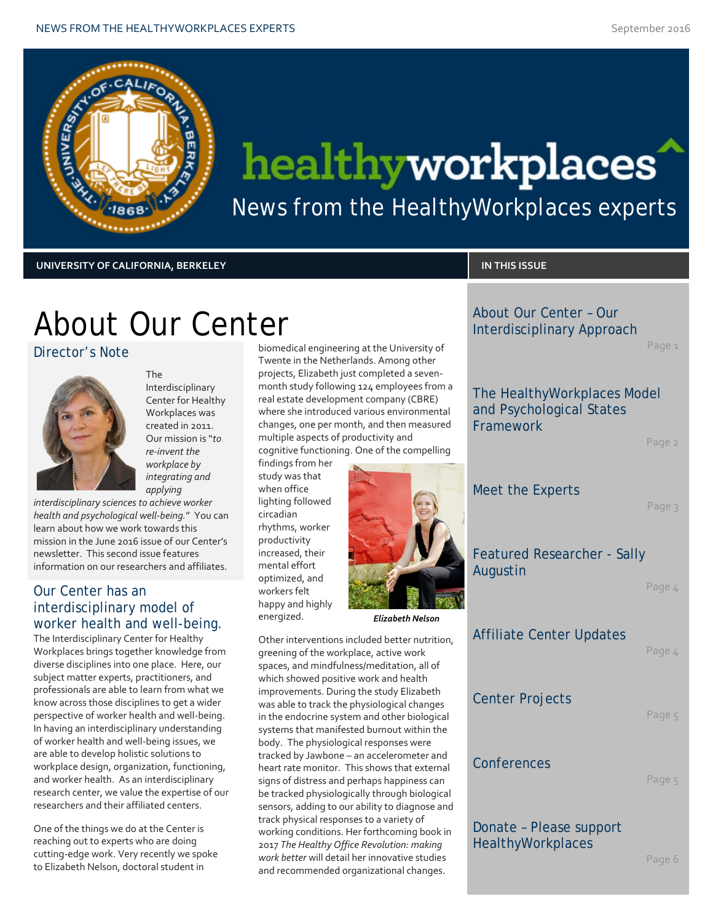

# healthyworkplaces

News from the HealthyWorkplaces experts

**UNIVERSITY OF CALIFORNIA, BERKELEY IN THIS ISSUE**

About Our Center – Our Interdisciplinary Approach

Page 1

## About Our Center

Director's Note



The Interdisciplinary Center for Healthy Workplaces was created in 2011. Our mission is "*to re-invent the workplace by integrating and applying* 

*interdisciplinary sciences to achieve worker health and psychological well-being.*" You can learn about how we work towards this mission in the June 2016 issue of our Center's newsletter. This second issue features information on our researchers and affiliates.

### Our Center has an interdisciplinary model of worker health and well-being.

The Interdisciplinary Center for Healthy Workplaces brings together knowledge from diverse disciplines into one place. Here, our subject matter experts, practitioners, and professionals are able to learn from what we know across those disciplines to get a wider perspective of worker health and well-being. In having an interdisciplinary understanding of worker health and well-being issues, we are able to develop holistic solutions to workplace design, organization, functioning, and worker health. As an interdisciplinary research center, we value the expertise of our researchers and their affiliated centers.

One of the things we do at the Center is reaching out to experts who are doing cutting-edge work. Very recently we spoke to Elizabeth Nelson, doctoral student in

biomedical engineering at the University of Twente in the Netherlands. Among other projects, Elizabeth just completed a sevenmonth study following 124 employees from a real estate development company (CBRE) where she introduced various environmental changes, one per month, and then measured multiple aspects of productivity and cognitive functioning. One of the compelling

findings from her study was that when office lighting followed circadian rhythms, worker productivity increased, their mental effort optimized, and workers felt happy and highly energized.



*Elizabeth Nelson*

Other interventions included better nutrition, greening of the workplace, active work spaces, and mindfulness/meditation, all of which showed positive work and health improvements. During the study Elizabeth was able to track the physiological changes in the endocrine system and other biological systems that manifested burnout within the body. The physiological responses were tracked by Jawbone – an accelerometer and heart rate monitor. This shows that external signs of distress and perhaps happiness can be tracked physiologically through biological sensors, adding to our ability to diagnose and track physical responses to a variety of working conditions. Her forthcoming book in 2017 *The Healthy Office Revolution: making work better* will detail her innovative studies and recommended organizational changes.

The HealthyWorkplaces Model and Psychological States Framework

Page 2

Meet the Experts

Page 3

### Featured Researcher - Sally Augustin

Page 4

### Affiliate Center Updates

Page 4

### Center Projects

Page 5

### Conferences

Page 5

Donate – Please support **HealthyWorkplaces** 

Page 6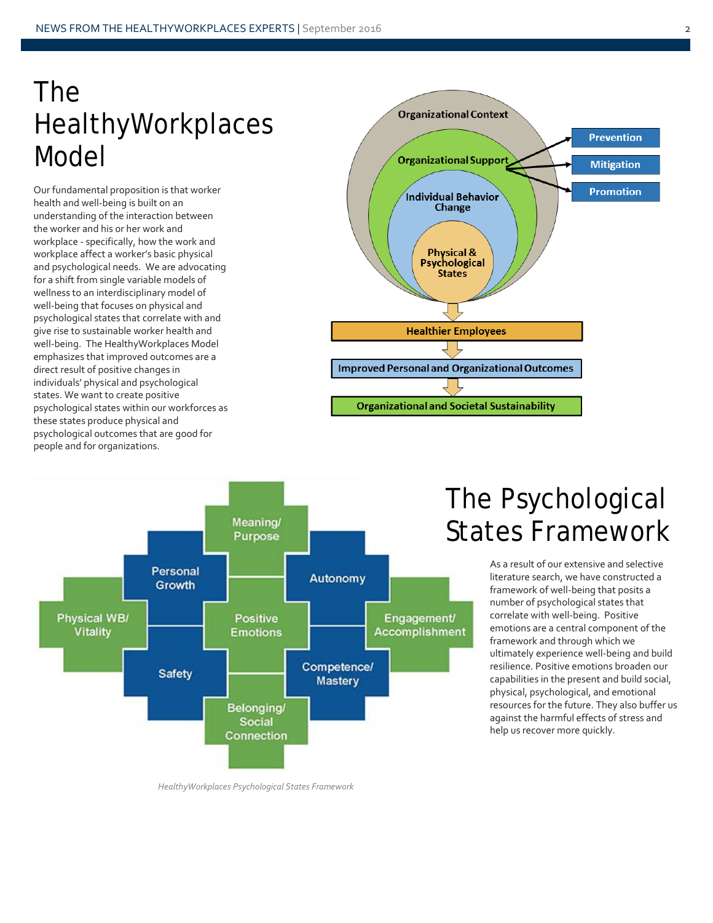## The HealthyWorkplaces Model

Our fundamental proposition is that worker health and well-being is built on an understanding of the interaction between the worker and his or her work and workplace - specifically, how the work and workplace affect a worker's basic physical and psychological needs. We are advocating for a shift from single variable models of wellness to an interdisciplinary model of well-being that focuses on physical and psychological states that correlate with and give rise to sustainable worker health and well-being. The HealthyWorkplaces Model emphasizes that improved outcomes are a direct result of positive changes in individuals' physical and psychological states. We want to create positive psychological states within our workforces as these states produce physical and psychological outcomes that are good for people and for organizations.





## The Psychological States Framework

As a result of our extensive and selective literature search, we have constructed a framework of well-being that posits a number of psychological states that correlate with well-being. Positive emotions are a central component of the framework and through which we ultimately experience well-being and build resilience. Positive emotions broaden our capabilities in the present and build social, physical, psychological, and emotional resources for the future. They also buffer us against the harmful effects of stress and help us recover more quickly.

*HealthyWorkplaces Psychological States Framework*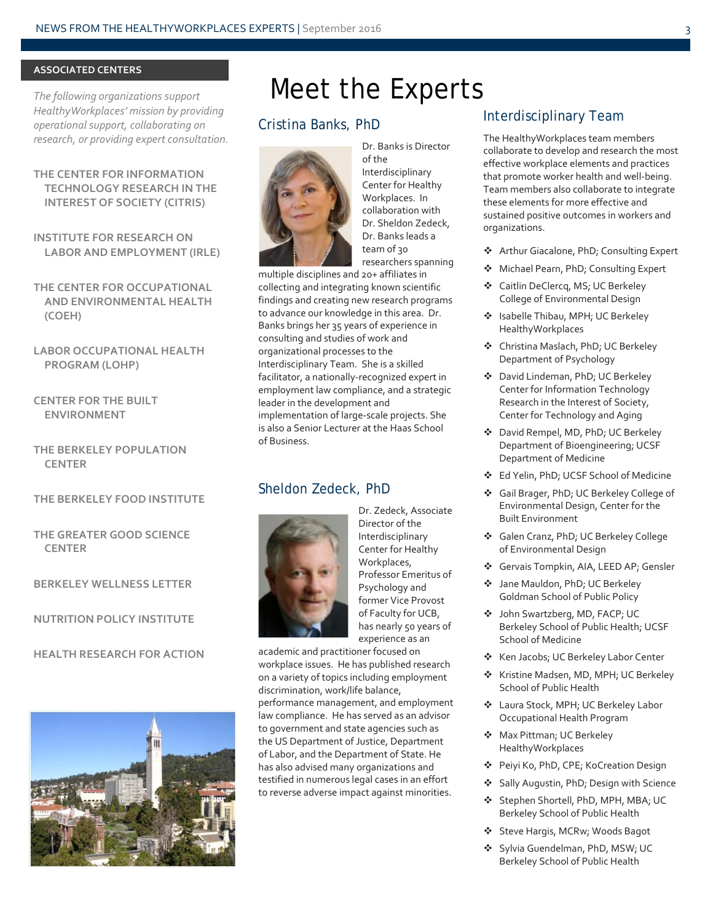#### **ASSOCIATED CENTERS**

*The following organizations support HealthyWorkplaces' mission by providing operational support, collaborating on research, or providing expert consultation.*

### **THE CENTER FOR INFORMATION TECHNOLOGY RESEARCH IN THE INTEREST OF SOCIETY (CITRIS)**

**INSTITUTE FOR RESEARCH ON LABOR AND EMPLOYMENT (IRLE)**

**THE CENTER FOR OCCUPATIONAL AND ENVIRONMENTAL HEALTH (COEH)**

### **LABOR OCCUPATIONAL HEALTH PROGRAM (LOHP)**

**CENTER FOR THE BUILT ENVIRONMENT**

**THE BERKELEY POPULATION CENTER**

### **THE BERKELEY FOOD INSTITUTE**

### **THE GREATER GOOD SCIENCE CENTER**

**BERKELEY WELLNESS LETTER**

**NUTRITION POLICY INSTITUTE**

### **HEALTH RESEARCH FOR ACTION**



### Meet the Experts

### Cristina Banks, PhD



Dr. Banks is Director of the Interdisciplinary Center for Healthy Workplaces. In collaboration with Dr. Sheldon Zedeck, Dr. Banks leads a team of 30 researchers spanning

multiple disciplines and 20+ affiliates in collecting and integrating known scientific findings and creating new research programs to advance our knowledge in this area. Dr. Banks brings her 35 years of experience in consulting and studies of work and organizational processes to the Interdisciplinary Team. She is a skilled facilitator, a nationally-recognized expert in employment law compliance, and a strategic leader in the development and implementation of large-scale projects. She is also a Senior Lecturer at the Haas School of Business.

### Sheldon Zedeck, PhD



Dr. Zedeck, Associate Director of the Interdisciplinary Center for Healthy Workplaces, Professor Emeritus of Psychology and former Vice Provost of Faculty for UCB, has nearly 50 years of experience as an

academic and practitioner focused on workplace issues. He has published research on a variety of topics including employment discrimination, work/life balance, performance management, and employment law compliance. He has served as an advisor to government and state agencies such as the US Department of Justice, Department of Labor, and the Department of State. He has also advised many organizations and testified in numerous legal cases in an effort to reverse adverse impact against minorities.

### Interdisciplinary Team

The HealthyWorkplaces team members collaborate to develop and research the most effective workplace elements and practices that promote worker health and well-being. Team members also collaborate to integrate these elements for more effective and sustained positive outcomes in workers and organizations.

- ◆ Arthur Giacalone, PhD; Consulting Expert
- ◆ Michael Pearn, PhD; Consulting Expert
- Caitlin DeClercq, MS; UC Berkeley College of Environmental Design
- Isabelle Thibau, MPH; UC Berkeley HealthyWorkplaces
- **❖** Christina Maslach, PhD; UC Berkeley Department of Psychology
- David Lindeman, PhD; UC Berkeley Center for Information Technology Research in the Interest of Society, Center for Technology and Aging
- ◆ David Rempel, MD, PhD; UC Berkeley Department of Bioengineering; UCSF Department of Medicine
- Ed Yelin, PhD; UCSF School of Medicine
- Gail Brager, PhD; UC Berkeley College of Environmental Design, Center for the Built Environment
- Galen Cranz, PhD; UC Berkeley College of Environmental Design
- Gervais Tompkin, AIA, LEED AP; Gensler
- Jane Mauldon, PhD; UC Berkeley Goldman School of Public Policy
- John Swartzberg, MD, FACP; UC Berkeley School of Public Health; UCSF School of Medicine
- ❖ Ken Jacobs; UC Berkeley Labor Center
- ❖ Kristine Madsen, MD, MPH; UC Berkeley School of Public Health
- Laura Stock, MPH; UC Berkeley Labor Occupational Health Program
- ◆ Max Pittman; UC Berkeley HealthyWorkplaces
- Peiyi Ko, PhD, CPE; KoCreation Design
- Sally Augustin, PhD; Design with Science
- Stephen Shortell, PhD, MPH, MBA; UC Berkeley School of Public Health
- Steve Hargis, MCRw; Woods Bagot
- ❖ Sylvia Guendelman, PhD, MSW; UC Berkeley School of Public Health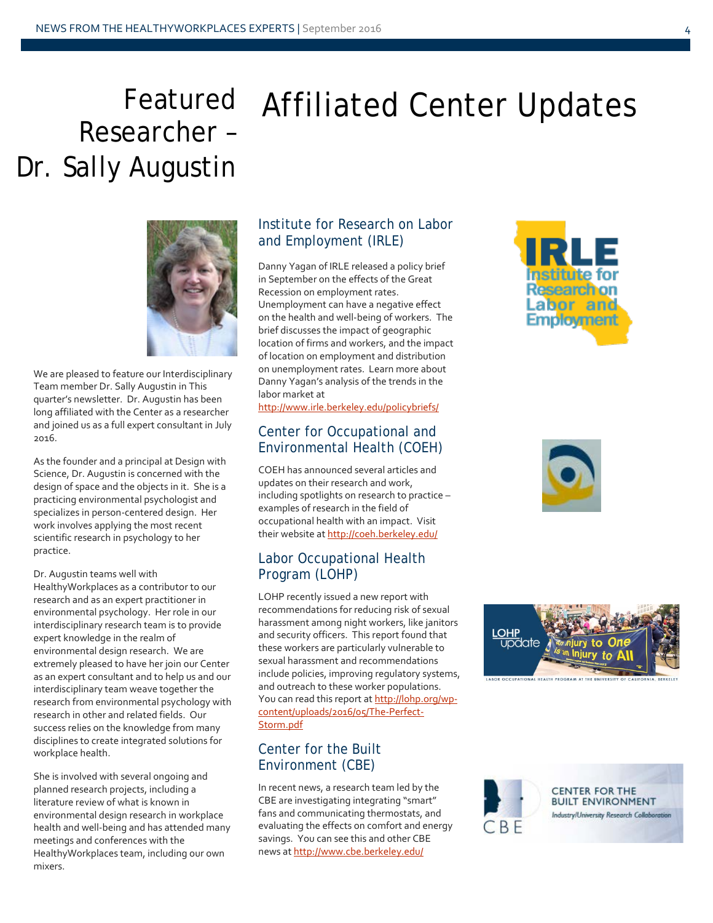## Researcher – Dr. Sally Augustin

# Featured Affiliated Center Updates



We are pleased to feature our Interdisciplinary Team member Dr. Sally Augustin in This quarter's newsletter. Dr. Augustin has been long affiliated with the Center as a researcher and joined us as a full expert consultant in July 2016.

As the founder and a principal at Design with Science, Dr. Augustin is concerned with the design of space and the objects in it. She is a practicing environmental psychologist and specializes in person-centered design. Her work involves applying the most recent scientific research in psychology to her practice.

Dr. Augustin teams well with HealthyWorkplaces as a contributor to our research and as an expert practitioner in environmental psychology. Her role in our interdisciplinary research team is to provide expert knowledge in the realm of environmental design research. We are extremely pleased to have her join our Center as an expert consultant and to help us and our interdisciplinary team weave together the research from environmental psychology with research in other and related fields. Our success relies on the knowledge from many disciplines to create integrated solutions for workplace health.

She is involved with several ongoing and planned research projects, including a literature review of what is known in environmental design research in workplace health and well-being and has attended many meetings and conferences with the HealthyWorkplaces team, including our own mixers.

### Institute for Research on Labor and Employment (IRLE)

Danny Yagan of IRLE released a policy brief in September on the effects of the Great Recession on employment rates. Unemployment can have a negative effect on the health and well-being of workers. The brief discusses the impact of geographic location of firms and workers, and the impact of location on employment and distribution on unemployment rates. Learn more about Danny Yagan's analysis of the trends in the labor market at

<http://www.irle.berkeley.edu/policybriefs/>

### Center for Occupational and Environmental Health (COEH)

COEH has announced several articles and updates on their research and work, including spotlights on research to practice – examples of research in the field of occupational health with an impact. Visit their website a[t http://coeh.berkeley.edu/](http://coeh.berkeley.edu/) 

### Labor Occupational Health Program (LOHP)

LOHP recently issued a new report with recommendations for reducing risk of sexual harassment among night workers, like janitors and security officers. This report found that these workers are particularly vulnerable to sexual harassment and recommendations include policies, improving regulatory systems, and outreach to these worker populations. You can read this report a[t http://lohp.org/wp](http://lohp.org/wp-content/uploads/2016/05/The-Perfect-Storm.pdf)[content/uploads/2016/05/The-Perfect-](http://lohp.org/wp-content/uploads/2016/05/The-Perfect-Storm.pdf)[Storm.pdf](http://lohp.org/wp-content/uploads/2016/05/The-Perfect-Storm.pdf)

### Center for the Built Environment (CBE)

In recent news, a research team led by the CBE are investigating integrating "smart" fans and communicating thermostats, and evaluating the effects on comfort and energy savings. You can see this and other CBE news a[t http://www.cbe.berkeley.edu/](http://www.cbe.berkeley.edu/) 







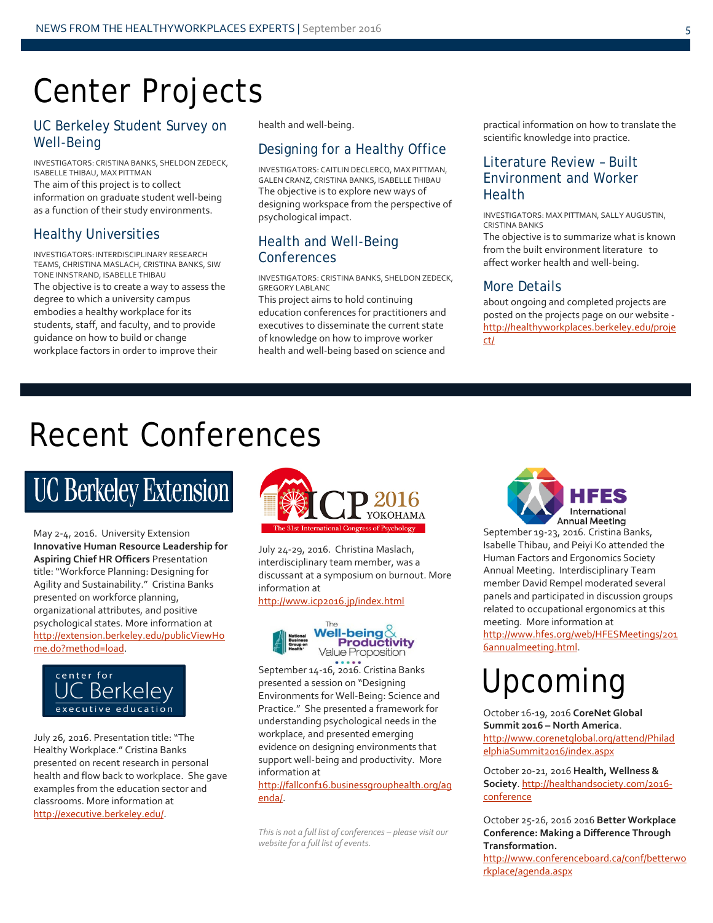## Center Projects

### UC Berkeley Student Survey on Well-Being

INVESTIGATORS: CRISTINA BANKS, SHELDON ZEDECK, ISABELLE THIBAU, MAX PITTMAN The aim of this project is to collect information on graduate student well-being as a function of their study environments.

### Healthy Universities

INVESTIGATORS: INTERDISCIPLINARY RESEARCH TEAMS, CHRISTINA MASLACH, CRISTINA BANKS, SIW TONE INNSTRAND, ISABELLE THIBAU The objective is to create a way to assess the degree to which a university campus embodies a healthy workplace for its students, staff, and faculty, and to provide guidance on how to build or change workplace factors in order to improve their

health and well-being.

### Designing for a Healthy Office

INVESTIGATORS: CAITLIN DECLERCQ, MAX PITTMAN, GALEN CRANZ, CRISTINA BANKS, ISABELLE THIBAU The objective is to explore new ways of designing workspace from the perspective of psychological impact.

### Health and Well-Being **Conferences**

INVESTIGATORS: CRISTINA BANKS, SHELDON ZEDECK, GREGORY LABLANC

This project aims to hold continuing education conferences for practitioners and executives to disseminate the current state of knowledge on how to improve worker health and well-being based on science and practical information on how to translate the scientific knowledge into practice.

### Literature Review – Built Environment and Worker Health

INVESTIGATORS: MAX PITTMAN, SALLY AUGUSTIN, CRISTINA BANKS

The objective is to summarize what is known from the built environment literature to affect worker health and well-being.

### More Details

about ongoing and completed projects are posted on the projects page on our website [http://healthyworkplaces.berkeley.edu/proje](http://healthyworkplaces.berkeley.edu/project/) [ct/](http://healthyworkplaces.berkeley.edu/project/)

## Recent Conferences

## **UC Berkeley Extension**

May 2-4, 2016. University Extension **Innovative Human Resource Leadership for Aspiring Chief HR Officers** Presentation title: "Workforce Planning: Designing for Agility and Sustainability." Cristina Banks presented on workforce planning, organizational attributes, and positive psychological states. More information at [http://extension.berkeley.edu/publicViewHo](http://extension.berkeley.edu/publicViewHome.do?method=load) [me.do?method=load.](http://extension.berkeley.edu/publicViewHome.do?method=load)



July 26, 2016. Presentation title: "The Healthy Workplace." Cristina Banks presented on recent research in personal health and flow back to workplace. She gave examples from the education sector and classrooms. More information at [http://executive.berkeley.edu/.](http://executive.berkeley.edu/)



July 24-29, 2016. Christina Maslach, interdisciplinary team member, was a discussant at a symposium on burnout. More information at

<http://www.icp2016.jp/index.html>



September 14-16, 2016. Cristina Banks presented a session on "Designing Environments for Well-Being: Science and Practice." She presented a framework for understanding psychological needs in the workplace, and presented emerging evidence on designing environments that support well-being and productivity. More information at

[http://fallconf16.businessgrouphealth.org/ag](http://fallconf16.businessgrouphealth.org/agenda/) [enda/.](http://fallconf16.businessgrouphealth.org/agenda/)

*This is not a full list of conferences – please visit our website for a full list of events.*

International **Annual Meeting** 

September 19-23, 2016. Cristina Banks, Isabelle Thibau, and Peiyi Ko attended the Human Factors and Ergonomics Society Annual Meeting. Interdisciplinary Team member David Rempel moderated several panels and participated in discussion groups related to occupational ergonomics at this meeting. More information at [http://www.hfes.org/web/HFESMeetings/201](http://www.hfes.org/web/HFESMeetings/2016annualmeeting.html) [6annualmeeting.html.](http://www.hfes.org/web/HFESMeetings/2016annualmeeting.html)

## Upcoming

October 16-19, 2016 **CoreNet Global Summit 2016 – North America**. [http://www.corenetglobal.org/attend/Philad](http://www.corenetglobal.org/attend/PhiladelphiaSummit2016/index.aspx) [elphiaSummit2016/index.aspx](http://www.corenetglobal.org/attend/PhiladelphiaSummit2016/index.aspx)

October 20-21, 2016 **Health, Wellness & Society**[. http://healthandsociety.com/2016](http://healthandsociety.com/2016-conference) [conference](http://healthandsociety.com/2016-conference)

October 25-26, 2016 2016 **Better Workplace Conference: Making a Difference Through Transformation.**

[http://www.conferenceboard.ca/conf/betterwo](http://www.conferenceboard.ca/conf/betterworkplace/agenda.aspx) [rkplace/agenda.aspx](http://www.conferenceboard.ca/conf/betterworkplace/agenda.aspx)